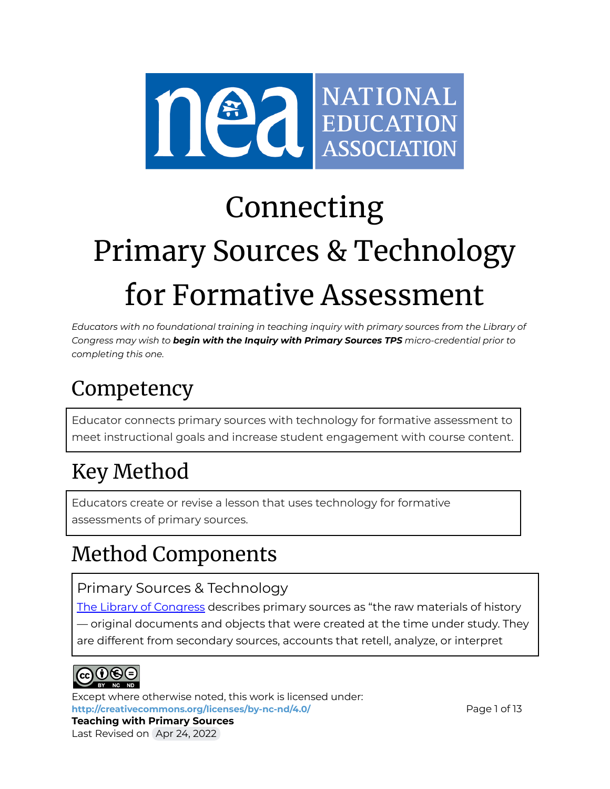

# Connecting Primary Sources & Technology for Formative Assessment

*Educators with no foundational training in teaching inquiry with primary sources from the Library of Congress may wish to begin with the Inquiry with Primary Sources TPS micro-credential prior to completing this one.*

# Competency

Educator connects primary sources with technology for formative assessment to meet instructional goals and increase student engagement with course content.

# Key Method

Educators create or revise a lesson that uses technology for formative assessments of primary sources.

# Method Components

# Primary Sources & Technology

The Library of [Congress](https://www.loc.gov/programs/teachers/getting-started-with-primary-sources/) describes primary sources as "the raw materials of history — original documents and objects that were created at the time under study. They are different from secondary sources, accounts that retell, analyze, or interpret



Except where otherwise noted, this work is licensed under: <http://creativecommons.org/licenses/by-nc-nd/4.0/> **Page 1 of 13**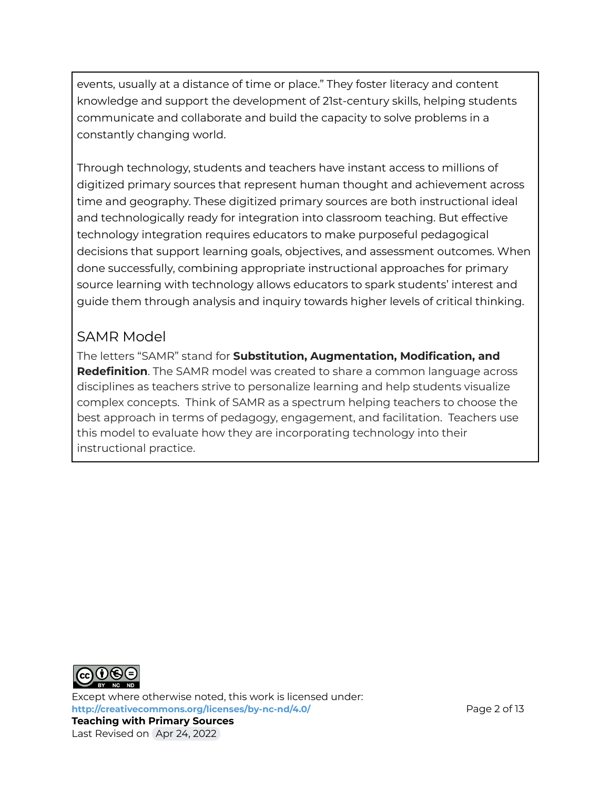events, usually at a distance of time or place." They foster literacy and content knowledge and support the development of 21st-century skills, helping students communicate and collaborate and build the capacity to solve problems in a constantly changing world.

Through technology, students and teachers have instant access to millions of digitized primary sources that represent human thought and achievement across time and geography. These digitized primary sources are both instructional ideal and technologically ready for integration into classroom teaching. But effective technology integration requires educators to make purposeful pedagogical decisions that support learning goals, objectives, and assessment outcomes. When done successfully, combining appropriate instructional approaches for primary source learning with technology allows educators to spark students' interest and guide them through analysis and inquiry towards higher levels of critical thinking.

## SAMR Model

The letters "SAMR" stand for **Substitution, Augmentation, Modification, and Redefinition**. The SAMR model was created to share a common language across disciplines as teachers strive to personalize learning and help students visualize complex concepts. Think of SAMR as a spectrum helping teachers to choose the best approach in terms of pedagogy, engagement, and facilitation. Teachers use this model to evaluate how they are incorporating technology into their instructional practice.



Except where otherwise noted, this work is licensed under: **<http://creativecommons.org/licenses/by-nc-nd/4.0/>** Page 2 of 13 **Teaching with Primary Sources** Last Revised on Apr 24, 2022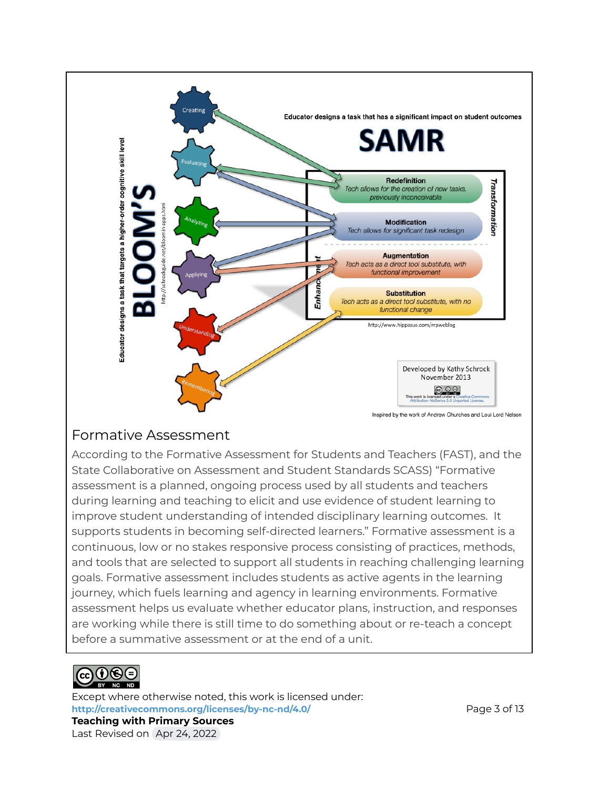

### Formative Assessment

According to the Formative Assessment for Students and Teachers (FAST), and the State Collaborative on Assessment and Student Standards SCASS) "Formative assessment is a planned, ongoing process used by all students and teachers during learning and teaching to elicit and use evidence of student learning to improve student understanding of intended disciplinary learning outcomes. It supports students in becoming self-directed learners." Formative assessment is a continuous, low or no stakes responsive process consisting of practices, methods, and tools that are selected to support all students in reaching challenging learning goals. Formative assessment includes students as active agents in the learning journey, which fuels learning and agency in learning environments. Formative assessment helps us evaluate whether educator plans, instruction, and responses are working while there is still time to do something about or re-teach a concept before a summative assessment or at the end of a unit.



Except where otherwise noted, this work is licensed under: <http://creativecommons.org/licenses/by-nc-nd/4.0/> **Page 3 of 13 Teaching with Primary Sources** Last Revised on Apr 24, 2022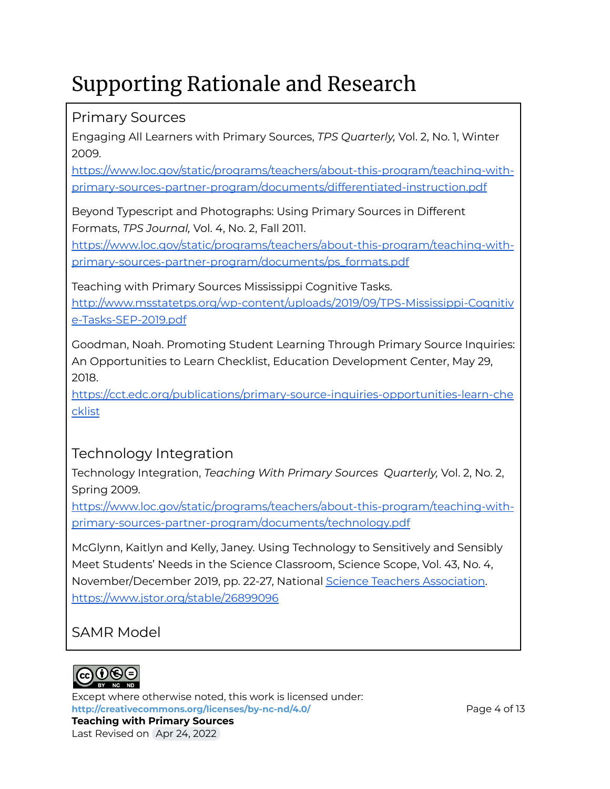# Supporting Rationale and Research

# Primary Sources

Engaging All Learners with Primary Sources, *TPS Quarterly,* Vol. 2, No. 1, Winter 2009.

[https://www.loc.gov/static/programs/teachers/about-this-program/teaching-with](https://www.loc.gov/static/programs/teachers/about-this-program/teaching-with-primary-sources-partner-program/documents/differentiated-instruction.pdf)[primary-sources-partner-program/documents/differentiated-instruction.pdf](https://www.loc.gov/static/programs/teachers/about-this-program/teaching-with-primary-sources-partner-program/documents/differentiated-instruction.pdf)

Beyond Typescript and Photographs: Using Primary Sources in Different Formats, *TPS Journal,* Vol. 4, No. 2, Fall 2011[.](https://www.loc.gov/static/programs/teachers/about-this-program/teaching-with-primary-sources-partner-program/documents/ps_formats.pdf)

[https://www.loc.gov/static/programs/teachers/about-this-program/teaching-with](https://www.loc.gov/static/programs/teachers/about-this-program/teaching-with-primary-sources-partner-program/documents/ps_formats.pdf)[primary-sources-partner-program/documents/ps\\_formats.pdf](https://www.loc.gov/static/programs/teachers/about-this-program/teaching-with-primary-sources-partner-program/documents/ps_formats.pdf)

Teaching with Primary Sources Mississippi Cognitive Tasks.

[http://www.msstatetps.org/wp-content/uploads/2019/09/TPS-Mississippi-Cognitiv](http://www.msstatetps.org/wp-content/uploads/2019/09/TPS-Mississippi-Cognitive-Tasks-SEP-2019.pdf) [e-Tasks-SEP-2019.pdf](http://www.msstatetps.org/wp-content/uploads/2019/09/TPS-Mississippi-Cognitive-Tasks-SEP-2019.pdf)

Goodman, Noah. Promoting Student Learning Through Primary Source Inquiries: An Opportunities to Learn Checklist, Education Development Center, May 29, 2018.

[https://cct.edc.org/publications/primary-source-inquiries-opportunities-learn-che](https://cct.edc.org/publications/primary-source-inquiries-opportunities-learn-checklist) [cklist](https://cct.edc.org/publications/primary-source-inquiries-opportunities-learn-checklist)

Technology Integration

Technology Integration, *Teaching With Primary Sources Quarterly,* Vol. 2, No. 2, Spring 2009[.](https://www.loc.gov/static/programs/teachers/about-this-program/teaching-with-primary-sources-partner-program/documents/inquiry-learning.pdf)

[https://www.loc.gov/static/programs/teachers/about-this-program/teaching-with](https://www.loc.gov/static/programs/teachers/about-this-program/teaching-with-primary-sources-partner-program/documents/technology.pdf)[primary-sources-partner-program/documents/technology.pdf](https://www.loc.gov/static/programs/teachers/about-this-program/teaching-with-primary-sources-partner-program/documents/technology.pdf)

McGlynn, Kaitlyn and Kelly, Janey. Using Technology to Sensitively and Sensibly Meet Students' Needs in the Science Classroom, Science Scope, Vol. 43, No. 4, November/December 2019, pp. 22-27, National Science Teachers [Association](https://www.jstor.org/publisher/nsta). <https://www.jstor.org/stable/26899096>

# SAMR Model

Last Revised on Apr 24, 2022



Except where otherwise noted, this work is licensed under: **<http://creativecommons.org/licenses/by-nc-nd/4.0/>** Page 4 of 13 **Teaching with Primary Sources**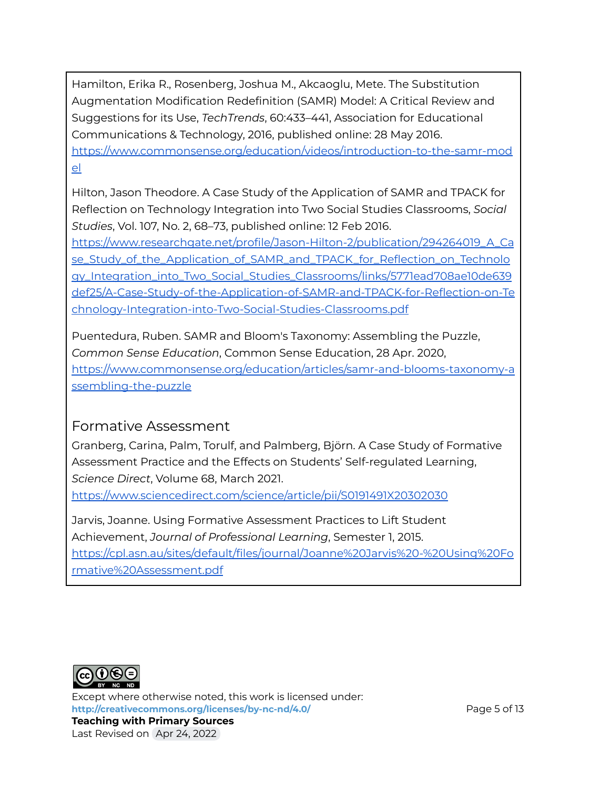Hamilton, Erika R., Rosenberg, Joshua M., Akcaoglu, Mete. The Substitution Augmentation Modification Redefinition (SAMR) Model: A Critical Review and Suggestions for its Use, *TechTrends*, 60:433–441, Association for Educational Communications & Technology, 2016, published online: 28 May 2016. [https://www.commonsense.org/education/videos/introduction-to-the-samr-mod](https://www.commonsense.org/education/videos/introduction-to-the-samr-model) [el](https://www.commonsense.org/education/videos/introduction-to-the-samr-model)

Hilton, Jason Theodore. A Case Study of the Application of SAMR and TPACK for Reflection on Technology Integration into Two Social Studies Classrooms, *Social Studies*, Vol. 107, No. 2, 68–73, published online: 12 Feb 2016.

[https://www.researchgate.net/profile/Jason-Hilton-2/publication/294264019\\_A\\_Ca](https://www.researchgate.net/profile/Jason-Hilton-2/publication/294264019_A_Case_Study_of_the_Application_of_SAMR_and_TPACK_for_Reflection_on_Technology_Integration_into_Two_Social_Studies_Classrooms/links/5771ead708ae10de639def25/A-Case-Study-of-the-Application-of-SAMR-and-TPACK-for-Reflection-on-Technology-Integration-into-Two-Social-Studies-Classrooms.pdf) [se\\_Study\\_of\\_the\\_Application\\_of\\_SAMR\\_and\\_TPACK\\_for\\_Reflection\\_on\\_Technolo](https://www.researchgate.net/profile/Jason-Hilton-2/publication/294264019_A_Case_Study_of_the_Application_of_SAMR_and_TPACK_for_Reflection_on_Technology_Integration_into_Two_Social_Studies_Classrooms/links/5771ead708ae10de639def25/A-Case-Study-of-the-Application-of-SAMR-and-TPACK-for-Reflection-on-Technology-Integration-into-Two-Social-Studies-Classrooms.pdf) [gy\\_Integration\\_into\\_Two\\_Social\\_Studies\\_Classrooms/links/5771ead708ae10de639](https://www.researchgate.net/profile/Jason-Hilton-2/publication/294264019_A_Case_Study_of_the_Application_of_SAMR_and_TPACK_for_Reflection_on_Technology_Integration_into_Two_Social_Studies_Classrooms/links/5771ead708ae10de639def25/A-Case-Study-of-the-Application-of-SAMR-and-TPACK-for-Reflection-on-Technology-Integration-into-Two-Social-Studies-Classrooms.pdf) [def25/A-Case-Study-of-the-Application-of-SAMR-and-TPACK-for-Reflection-on-Te](https://www.researchgate.net/profile/Jason-Hilton-2/publication/294264019_A_Case_Study_of_the_Application_of_SAMR_and_TPACK_for_Reflection_on_Technology_Integration_into_Two_Social_Studies_Classrooms/links/5771ead708ae10de639def25/A-Case-Study-of-the-Application-of-SAMR-and-TPACK-for-Reflection-on-Technology-Integration-into-Two-Social-Studies-Classrooms.pdf) [chnology-Integration-into-Two-Social-Studies-Classrooms.pdf](https://www.researchgate.net/profile/Jason-Hilton-2/publication/294264019_A_Case_Study_of_the_Application_of_SAMR_and_TPACK_for_Reflection_on_Technology_Integration_into_Two_Social_Studies_Classrooms/links/5771ead708ae10de639def25/A-Case-Study-of-the-Application-of-SAMR-and-TPACK-for-Reflection-on-Technology-Integration-into-Two-Social-Studies-Classrooms.pdf)

Puentedura, Ruben. SAMR and Bloom's Taxonomy: Assembling the Puzzle, *Common Sense Education*, Common Sense Education, 28 Apr. 2020, [https://www.commonsense.org/education/articles/samr-and-blooms-taxonomy-a](https://www.commonsense.org/education/articles/samr-and-blooms-taxonomy-assembling-the-puzzle) [ssembling-the-puzzle](https://www.commonsense.org/education/articles/samr-and-blooms-taxonomy-assembling-the-puzzle)

### Formative Assessment

Granberg, Carina, Palm, Torulf, and Palmberg, Bjӧrn. A Case Study of Formative Assessment Practice and the Effects on Students' Self-regulated Learning, *Science Direct*, Volume 68, March 2021.

<https://www.sciencedirect.com/science/article/pii/S0191491X20302030>

Jarvis, Joanne. Using Formative Assessment Practices to Lift Student Achievement, *Journal of Professional Learning*, Semester 1, 2015. [https://cpl.asn.au/sites/default/files/journal/Joanne%20Jarvis%20-%20Using%20Fo](https://cpl.asn.au/sites/default/files/journal/Joanne%20Jarvis%20-%20Using%20Formative%20Assessment.pdf) [rmative%20Assessment.pdf](https://cpl.asn.au/sites/default/files/journal/Joanne%20Jarvis%20-%20Using%20Formative%20Assessment.pdf)



Except where otherwise noted, this work is licensed under: **<http://creativecommons.org/licenses/by-nc-nd/4.0/>** Page 5 of 13 **Teaching with Primary Sources** Last Revised on Apr 24, 2022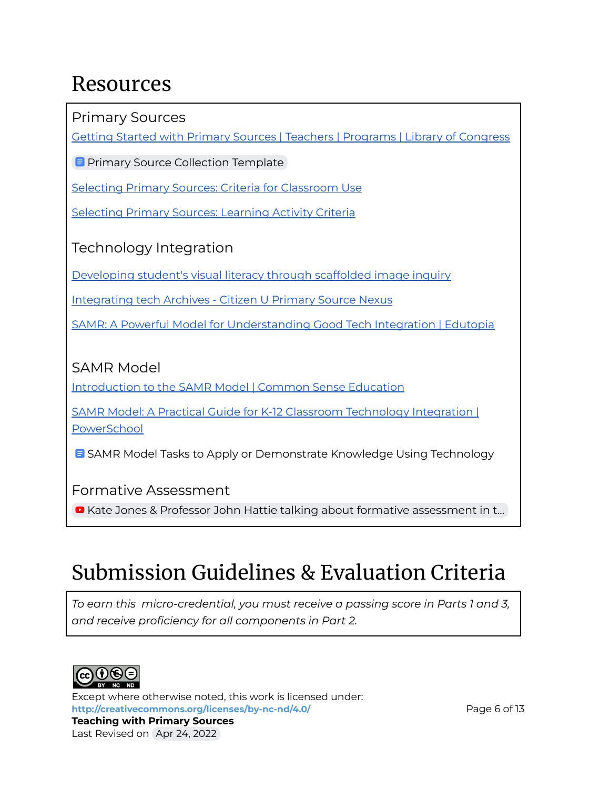# Resources

Primary Sources

Getting Started with Primary Sources | Teachers | [Programs](https://www.loc.gov/programs/teachers/getting-started-with-primary-sources/) | Library of Congress

**E** Primary Source [Collection](https://docs.google.com/document/d/16R7HYuZmcA6snW8Uzeg8CHkD2uGvLCnxzihbWTvjX1I/view) Template

Selecting Primary Sources: Criteria for [Classroom](https://primarysourcenexus.org/2012/04/selecting-primary-sources-criteria-to-consider/) Use

[Selecting](https://primarysourcenexus.org/2011/07/selecting-using-primary-sources-in-the-classroom/) Primary Sources: Learning Activity Criteria

Technology Integration

[Developing](https://literacybeat.com/2011/08/09/developing-student%E2%80%99s-visual-literacy-through-scaffolded-image-inquiry/) student's visual literacy through scaffolded image inquiry

[Integrating](https://primarysourcenexus.org/tag/integrating-tech/) tech Archives - Citizen U Primary Source Nexus

SAMR: A Powerful Model for [Understanding](https://www.edutopia.org/article/powerful-model-understanding-good-tech-integration) Good Tech Integration | Edutopia

## SAMR Model

[Introduction](https://www.commonsense.org/education/videos/introduction-to-the-samr-model) to the SAMR Model | Common Sense Education

SAMR Model: A Practical Guide for K-12 Classroom [Technology](https://www.powerschool.com/resources/blog/samr-model-a-practical-guide-for-k-12-classroom-technology-integration/) Integration | [PowerSchool](https://www.powerschool.com/resources/blog/samr-model-a-practical-guide-for-k-12-classroom-technology-integration/)

**B** SAMR Model Tasks to Apply or [Demonstrate](https://docs.google.com/document/d/1yud3FUfYsR1utV1M_FFi-yx7wl7YM_Efxak1dae5suI/view) Knowledge Using Technology

Formative Assessment

■ Kate Jones & Professor John Hattie talking about formative [assessment](https://youtu.be/SqOQGLzaw0Y) in t...

# Submission Guidelines & Evaluation Criteria

*To earn this micro-credential, you must receive a passing score in Parts 1 and 3, and receive proficiency for all components in Part 2.*



Last Revised on Apr 24, 2022

Except where otherwise noted, this work is licensed under: **<http://creativecommons.org/licenses/by-nc-nd/4.0/>** Page 6 of 13 **Teaching with Primary Sources**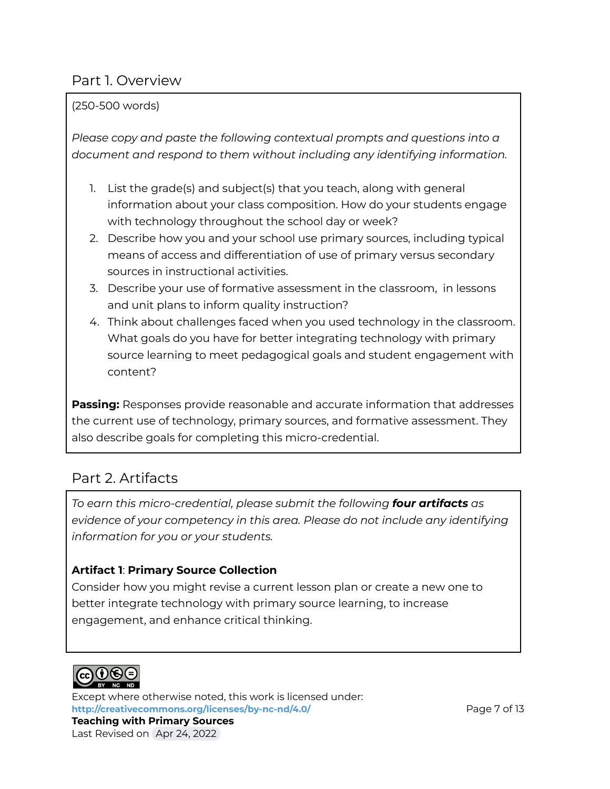### Part 1. Overview

#### (250-500 words)

*Please copy and paste the following contextual prompts and questions into a document and respond to them without including any identifying information.*

- 1. List the grade(s) and subject(s) that you teach, along with general information about your class composition. How do your students engage with technology throughout the school day or week?
- 2. Describe how you and your school use primary sources, including typical means of access and differentiation of use of primary versus secondary sources in instructional activities.
- 3. Describe your use of formative assessment in the classroom, in lessons and unit plans to inform quality instruction?
- 4. Think about challenges faced when you used technology in the classroom. What goals do you have for better integrating technology with primary source learning to meet pedagogical goals and student engagement with content?

**Passing:** Responses provide reasonable and accurate information that addresses the current use of technology, primary sources, and formative assessment. They also describe goals for completing this micro-credential.

# Part 2. Artifacts

*To earn this micro-credential, please submit the following four artifacts as evidence of your competency in this area. Please do not include any identifying information for you or your students.*

#### **Artifact 1**: **Primary Source Collection**

Consider how you might revise a current lesson plan or create a new one to better integrate technology with primary source learning, to increase engagement, and enhance critical thinking.



Last Revised on Apr 24, 2022

Except where otherwise noted, this work is licensed under: **<http://creativecommons.org/licenses/by-nc-nd/4.0/>** Page 7 of 13 **Teaching with Primary Sources**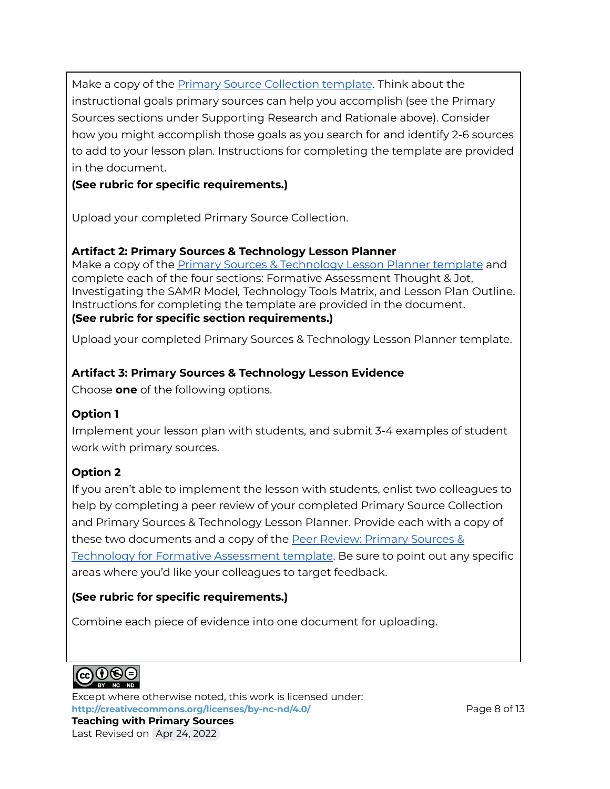Make a copy of the Primary Source [Collection](https://docs.google.com/document/d/16R7HYuZmcA6snW8Uzeg8CHkD2uGvLCnxzihbWTvjX1I/view) template. Think about the instructional goals primary sources can help you accomplish (see the Primary Sources sections under Supporting Research and Rationale above). Consider how you might accomplish those goals as you search for and identify 2-6 sources to add to your lesson plan. Instructions for completing the template are provided in the document.

#### **(See rubric for specific requirements.)**

Upload your completed Primary Source Collection.

#### **Artifact 2: Primary Sources & Technology Lesson Planner**

Make a copy of the Primary Sources & [Technology](https://docs.google.com/document/d/1bbMbAsPcNbtzY-02fmoLMReh13Y_ECtivSz-DzT_6Ho/view) Lesson Planner template and complete each of the four sections: Formative Assessment Thought & Jot, Investigating the SAMR Model*,* Technology Tools Matrix, and Lesson Plan Outline. Instructions for completing the template are provided in the document. **(See rubric for specific section requirements.)**

Upload your completed Primary Sources & Technology Lesson Planner template.

#### **Artifact 3: Primary Sources & Technology Lesson Evidence**

Choose **one** of the following options.

#### **Option 1**

Implement your lesson plan with students, and submit 3-4 examples of student work with primary sources.

#### **Option 2**

If you aren't able to implement the lesson with students, enlist two colleagues to help by completing a peer review of your completed Primary Source Collection and Primary Sources & Technology Lesson Planner. Provide each with a copy of these two documents and a copy of the Peer Review: [Primary](https://docs.google.com/document/d/1fVKvnvoPHqbTcASvzcpyF0TM2YB1i3JNdpwfba-mBHQ/view) Sources & Technology for Formative [Assessment](https://docs.google.com/document/d/1fVKvnvoPHqbTcASvzcpyF0TM2YB1i3JNdpwfba-mBHQ/view) template. Be sure to point out any specific areas where you'd like your colleagues to target feedback.

#### **(See rubric for specific requirements.)**

Combine each piece of evidence into one document for uploading.



Except where otherwise noted, this work is licensed under: **<http://creativecommons.org/licenses/by-nc-nd/4.0/>** Page 8 of 13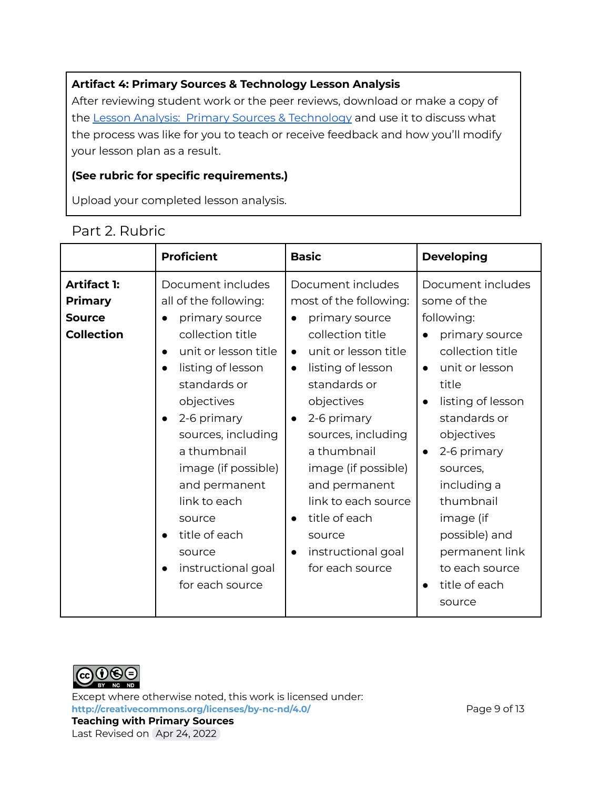#### **Artifact 4: Primary Sources & Technology Lesson Analysis**

After reviewing student work or the peer reviews, download or make a copy of the Lesson Analysis: Primary Sources & [Technology](https://docs.google.com/document/d/1XYH08hjzj4EbNuNdtlMXDff37YdhhpOek4h9lr8zt6M/view) and use it to discuss what the process was like for you to teach or receive feedback and how you'll modify your lesson plan as a result.

#### **(See rubric for specific requirements.)**

Upload your completed lesson analysis.

|                                                                            | <b>Proficient</b>                                                                                                                                                                                                                                                                                                                                                               | <b>Basic</b>                                                                                                                                                                                                                                                                                                                                                                                            | <b>Developing</b>                                                                                                                                                                                                                                                                                                                                                          |
|----------------------------------------------------------------------------|---------------------------------------------------------------------------------------------------------------------------------------------------------------------------------------------------------------------------------------------------------------------------------------------------------------------------------------------------------------------------------|---------------------------------------------------------------------------------------------------------------------------------------------------------------------------------------------------------------------------------------------------------------------------------------------------------------------------------------------------------------------------------------------------------|----------------------------------------------------------------------------------------------------------------------------------------------------------------------------------------------------------------------------------------------------------------------------------------------------------------------------------------------------------------------------|
| <b>Artifact 1:</b><br><b>Primary</b><br><b>Source</b><br><b>Collection</b> | Document includes<br>all of the following:<br>primary source<br>collection title<br>unit or lesson title<br>$\bullet$<br>listing of lesson<br>$\bullet$<br>standards or<br>objectives<br>2-6 primary<br>sources, including<br>a thumbnail<br>image (if possible)<br>and permanent<br>link to each<br>source<br>title of each<br>source<br>instructional goal<br>for each source | Document includes<br>most of the following:<br>primary source<br>collection title<br>unit or lesson title<br>$\bullet$<br>listing of lesson<br>$\bullet$<br>standards or<br>objectives<br>2-6 primary<br>$\bullet$<br>sources, including<br>a thumbnail<br>image (if possible)<br>and permanent<br>link to each source<br>title of each<br>source<br>instructional goal<br>$\bullet$<br>for each source | Document includes<br>some of the<br>following:<br>primary source<br>collection title<br>unit or lesson<br>$\bullet$<br>title<br>listing of lesson<br>$\bullet$<br>standards or<br>objectives<br>2-6 primary<br>$\bullet$<br>sources,<br>including a<br>thumbnail<br>image (if<br>possible) and<br>permanent link<br>to each source<br>title of each<br>$\bullet$<br>source |

### Part 2. Rubric



Except where otherwise noted, this work is licensed under: <http://creativecommons.org/licenses/by-nc-nd/4.0/><br>
Page 9 of 13 **Teaching with Primary Sources** Last Revised on Apr 24, 2022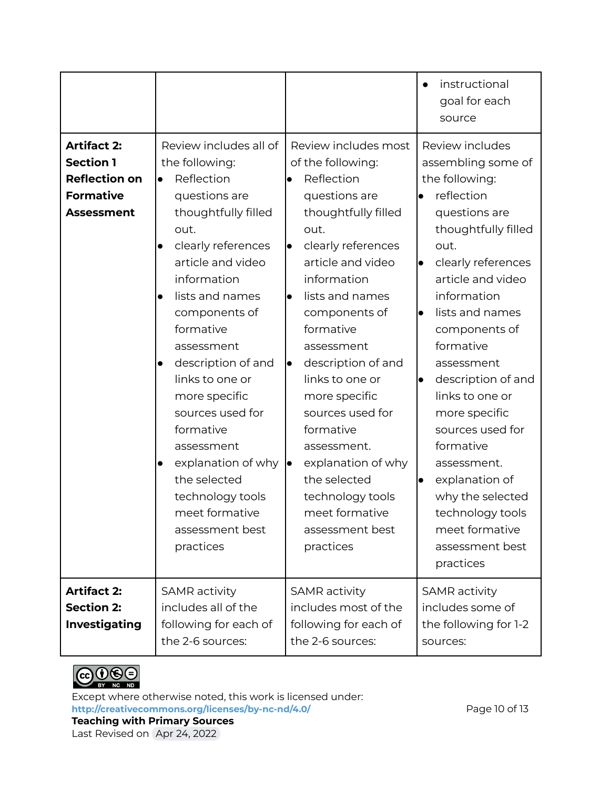|                                                                                                         |                                                                                                                                                                                                                                                                                                                                                                                                                                                                                                                       |                                                                                                                                                                                                                                                                                                                                                                                                                                                                                                    | instructional<br>$\bullet$<br>goal for each<br>source                                                                                                                                                                                                                                                                                                                                                                                                                                                             |
|---------------------------------------------------------------------------------------------------------|-----------------------------------------------------------------------------------------------------------------------------------------------------------------------------------------------------------------------------------------------------------------------------------------------------------------------------------------------------------------------------------------------------------------------------------------------------------------------------------------------------------------------|----------------------------------------------------------------------------------------------------------------------------------------------------------------------------------------------------------------------------------------------------------------------------------------------------------------------------------------------------------------------------------------------------------------------------------------------------------------------------------------------------|-------------------------------------------------------------------------------------------------------------------------------------------------------------------------------------------------------------------------------------------------------------------------------------------------------------------------------------------------------------------------------------------------------------------------------------------------------------------------------------------------------------------|
| <b>Artifact 2:</b><br><b>Section 1</b><br><b>Reflection on</b><br><b>Formative</b><br><b>Assessment</b> | Review includes all of<br>the following:<br>Reflection<br>$\bullet$<br>questions are<br>thoughtfully filled<br>out.<br>clearly references<br>$\bullet$<br>article and video<br>information<br>lists and names<br>$\bullet$<br>components of<br>formative<br>assessment<br>description of and<br>$\bullet$<br>links to one or<br>more specific<br>sources used for<br>formative<br>assessment<br>explanation of why<br>$\bullet$<br>the selected<br>technology tools<br>meet formative<br>assessment best<br>practices | Review includes most<br>of the following:<br>Reflection<br>$\bullet$<br>questions are<br>thoughtfully filled<br>out.<br>clearly references<br>l.<br>article and video<br>information<br>lists and names<br>$\bullet$<br>components of<br>formative<br>assessment<br>description of and<br>lo<br>links to one or<br>more specific<br>sources used for<br>formative<br>assessment.<br>explanation of why<br>∣●<br>the selected<br>technology tools<br>meet formative<br>assessment best<br>practices | Review includes<br>assembling some of<br>the following:<br>reflection<br>questions are<br>thoughtfully filled<br>out.<br>clearly references<br>$\bullet$<br>article and video<br>information<br>lists and names<br>$\bullet$<br>components of<br>formative<br>assessment<br>description of and<br>$\bullet$<br>links to one or<br>more specific<br>sources used for<br>formative<br>assessment.<br>explanation of<br>lo<br>why the selected<br>technology tools<br>meet formative<br>assessment best<br>practices |
| <b>Artifact 2:</b><br><b>Section 2:</b><br><b>Investigating</b>                                         | SAMR activity<br>includes all of the<br>following for each of<br>the 2-6 sources:                                                                                                                                                                                                                                                                                                                                                                                                                                     | SAMR activity<br>includes most of the<br>following for each of<br>the 2-6 sources:                                                                                                                                                                                                                                                                                                                                                                                                                 | SAMR activity<br>includes some of<br>the following for 1-2<br>sources:                                                                                                                                                                                                                                                                                                                                                                                                                                            |



Except where otherwise noted, this work is licensed under: **<http://creativecommons.org/licenses/by-nc-nd/4.0/>** Page 10 of 13 **Teaching with Primary Sources**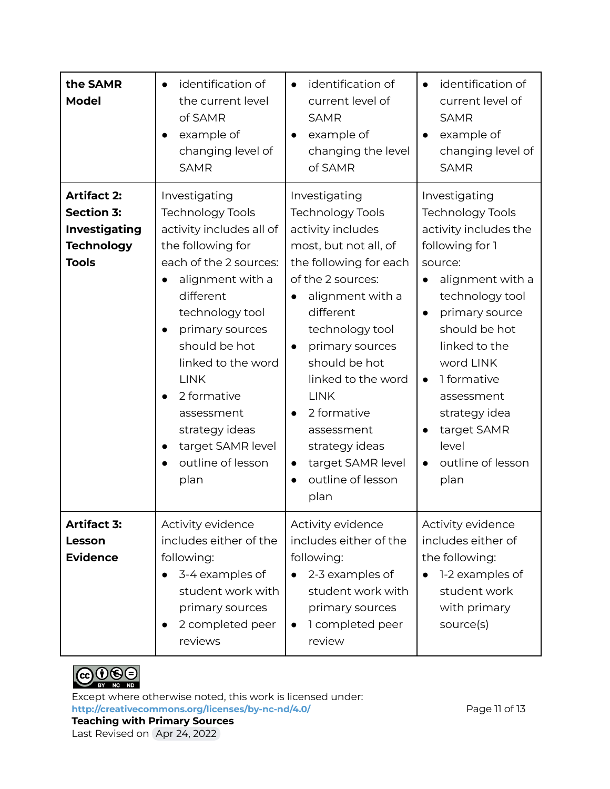| the SAMR<br><b>Model</b>                                                                             | identification of<br>$\bullet$<br>the current level<br>of SAMR<br>example of<br>changing level of<br><b>SAMR</b>                                                                                                                                                                                                                                                                                      | identification of<br>$\bullet$<br>current level of<br><b>SAMR</b><br>example of<br>changing the level<br>of SAMR                                                                                                                                                                                                                                                                                                        | identification of<br>$\bullet$<br>current level of<br><b>SAMR</b><br>example of<br>$\bullet$<br>changing level of<br><b>SAMR</b>                                                                                                                                                                                                                                            |
|------------------------------------------------------------------------------------------------------|-------------------------------------------------------------------------------------------------------------------------------------------------------------------------------------------------------------------------------------------------------------------------------------------------------------------------------------------------------------------------------------------------------|-------------------------------------------------------------------------------------------------------------------------------------------------------------------------------------------------------------------------------------------------------------------------------------------------------------------------------------------------------------------------------------------------------------------------|-----------------------------------------------------------------------------------------------------------------------------------------------------------------------------------------------------------------------------------------------------------------------------------------------------------------------------------------------------------------------------|
| <b>Artifact 2:</b><br><b>Section 3:</b><br><b>Investigating</b><br><b>Technology</b><br><b>Tools</b> | Investigating<br><b>Technology Tools</b><br>activity includes all of<br>the following for<br>each of the 2 sources:<br>alignment with a<br>$\bullet$<br>different<br>technology tool<br>primary sources<br>$\bullet$<br>should be hot<br>linked to the word<br><b>LINK</b><br>2 formative<br>$\bullet$<br>assessment<br>strategy ideas<br>target SAMR level<br>$\bullet$<br>outline of lesson<br>plan | Investigating<br><b>Technology Tools</b><br>activity includes<br>most, but not all, of<br>the following for each<br>of the 2 sources:<br>alignment with a<br>different<br>technology tool<br>primary sources<br>$\bullet$<br>should be hot<br>linked to the word<br><b>LINK</b><br>2 formative<br>$\bullet$<br>assessment<br>strategy ideas<br>target SAMR level<br>$\bullet$<br>outline of lesson<br>$\bullet$<br>plan | Investigating<br><b>Technology Tools</b><br>activity includes the<br>following for 1<br>source:<br>alignment with a<br>$\bullet$<br>technology tool<br>primary source<br>$\bullet$<br>should be hot<br>linked to the<br>word LINK<br>1 formative<br>$\bullet$<br>assessment<br>strategy idea<br>target SAMR<br>$\bullet$<br>level<br>outline of lesson<br>$\bullet$<br>plan |
| <b>Artifact 3:</b><br>Lesson<br><b>Evidence</b>                                                      | Activity evidence<br>includes either of the<br>following:<br>3-4 examples of<br>$\bullet$<br>student work with<br>primary sources<br>2 completed peer<br>$\bullet$<br>reviews                                                                                                                                                                                                                         | Activity evidence<br>includes either of the<br>following:<br>2-3 examples of<br>$\bullet$<br>student work with<br>primary sources<br>1 completed peer<br>$\bullet$<br>review                                                                                                                                                                                                                                            | Activity evidence<br>includes either of<br>the following:<br>1-2 examples of<br>student work<br>with primary<br>source(s)                                                                                                                                                                                                                                                   |



Except where otherwise noted, this work is licensed under: **<http://creativecommons.org/licenses/by-nc-nd/4.0/>** Page 11 of 13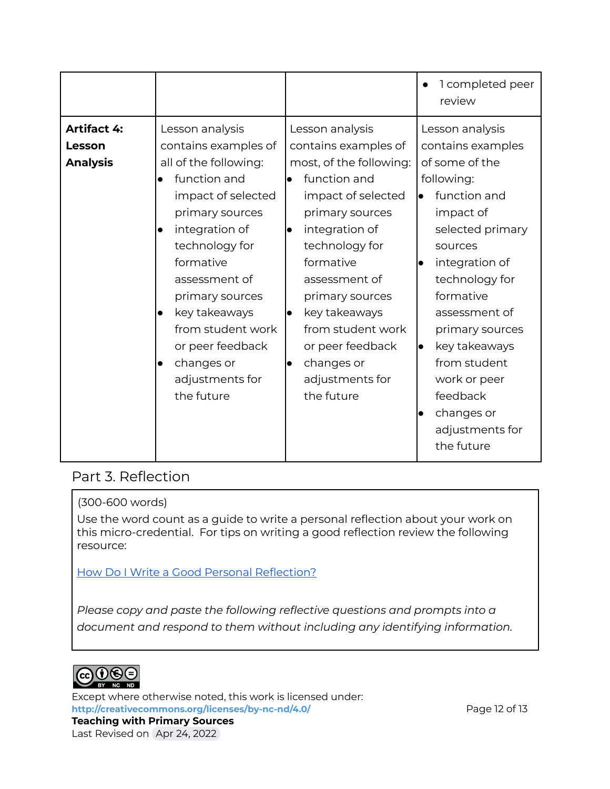|                                                 |                                                                                                                                                                                                                                                                                                                                                                             |                                                                                                                                                                                                                                                                                                                                        | 1 completed peer<br>$\bullet$<br>review                                                                                                                                                                                                                                                                                                                                        |
|-------------------------------------------------|-----------------------------------------------------------------------------------------------------------------------------------------------------------------------------------------------------------------------------------------------------------------------------------------------------------------------------------------------------------------------------|----------------------------------------------------------------------------------------------------------------------------------------------------------------------------------------------------------------------------------------------------------------------------------------------------------------------------------------|--------------------------------------------------------------------------------------------------------------------------------------------------------------------------------------------------------------------------------------------------------------------------------------------------------------------------------------------------------------------------------|
| <b>Artifact 4:</b><br>Lesson<br><b>Analysis</b> | Lesson analysis<br>contains examples of<br>all of the following:<br>function and<br>$\bullet$<br>impact of selected<br>primary sources<br>integration of<br>$\bullet$<br>technology for<br>formative<br>assessment of<br>primary sources<br>key takeaways<br>$\bullet$<br>from student work<br>or peer feedback<br>changes or<br>$\bullet$<br>adjustments for<br>the future | Lesson analysis<br>contains examples of<br>most, of the following:<br>function and<br>$\bullet$<br>impact of selected<br>primary sources<br>integration of<br>technology for<br>formative<br>assessment of<br>primary sources<br>key takeaways<br>from student work<br>or peer feedback<br>changes or<br>adjustments for<br>the future | Lesson analysis<br>contains examples<br>of some of the<br>following:<br>function and<br>$\bullet$<br>impact of<br>selected primary<br>sources<br>integration of<br>$\bullet$<br>technology for<br>formative<br>assessment of<br>primary sources<br>key takeaways<br>lo<br>from student<br>work or peer<br>feedback<br>changes or<br>$\bullet$<br>adjustments for<br>the future |

### Part 3. Reflection

#### (300-600 words)

Use the word count as a guide to write a personal reflection about your work on this micro-credential. For tips on writing a good reflection review the following resource:

How Do I Write a Good Personal [Reflection?](https://isthismystory.com/learning/how-do-i-write-a-good-personal-reflection/)

*Please copy and paste the following reflective questions and prompts into a document and respond to them without including any identifying information.*



Except where otherwise noted, this work is licensed under: <http://creativecommons.org/licenses/by-nc-nd/4.0/><br>
Page 12 of 13